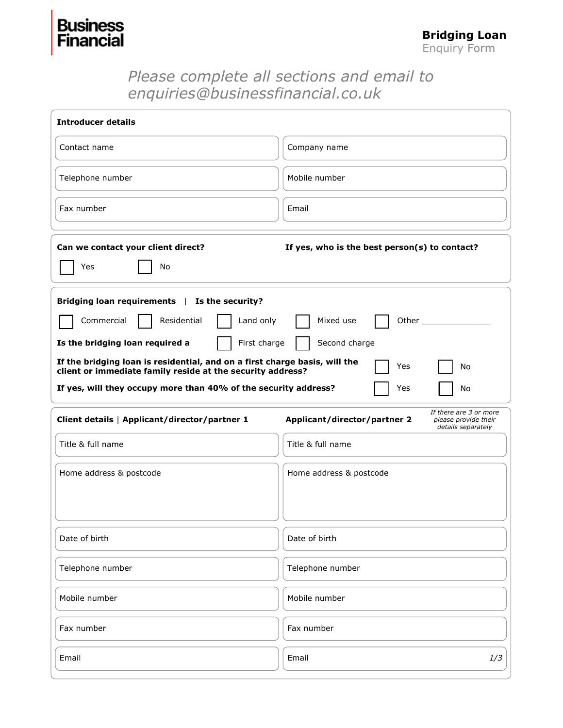## **Bus** Financial

## *Please complete all sections and email to enquiries@businessfinancial.co.uk*

| <b>Introducer details</b>                                                                                                                             |                                                                                                      |  |  |  |
|-------------------------------------------------------------------------------------------------------------------------------------------------------|------------------------------------------------------------------------------------------------------|--|--|--|
| Contact name                                                                                                                                          | Company name                                                                                         |  |  |  |
| Telephone number                                                                                                                                      | Mobile number                                                                                        |  |  |  |
| Fax number                                                                                                                                            | Email                                                                                                |  |  |  |
| Can we contact your client direct?<br>If yes, who is the best person(s) to contact?<br>Yes<br>No                                                      |                                                                                                      |  |  |  |
| Bridging loan requirements   Is the security?<br>Commercial<br>Residential<br>Land only                                                               | Mixed use<br>Other                                                                                   |  |  |  |
| First charge<br>Is the bridging loan required a                                                                                                       | Second charge                                                                                        |  |  |  |
| If the bridging loan is residential, and on a first charge basis, will the<br>Yes<br>No<br>client or immediate family reside at the security address? |                                                                                                      |  |  |  |
| If yes, will they occupy more than 40% of the security address?                                                                                       | Yes<br>No                                                                                            |  |  |  |
| Client details   Applicant/director/partner 1                                                                                                         | If there are 3 or more<br>Applicant/director/partner 2<br>please provide their<br>details separately |  |  |  |
| Title & full name                                                                                                                                     | Title & full name                                                                                    |  |  |  |
| Home address & postcode                                                                                                                               | Home address & postcode                                                                              |  |  |  |
| Date of birth                                                                                                                                         | Date of birth                                                                                        |  |  |  |
| Telephone number                                                                                                                                      | Telephone number                                                                                     |  |  |  |
| Mobile number                                                                                                                                         | Mobile number                                                                                        |  |  |  |
| Fax number                                                                                                                                            | Fax number                                                                                           |  |  |  |
| Email                                                                                                                                                 | Email<br>1/3                                                                                         |  |  |  |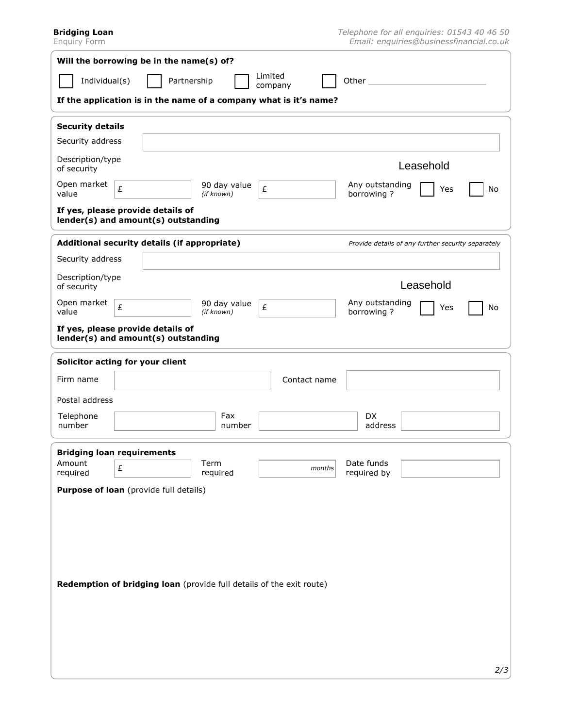**Bridging Loan**

Enquiry Form

| Will the borrowing be in the name(s) of?                                 |                                                    |  |  |  |  |
|--------------------------------------------------------------------------|----------------------------------------------------|--|--|--|--|
| Limited<br>Individual(s)<br>Partnership<br>Other<br>company              |                                                    |  |  |  |  |
| If the application is in the name of a company what is it's name?        |                                                    |  |  |  |  |
| <b>Security details</b>                                                  |                                                    |  |  |  |  |
| Security address                                                         |                                                    |  |  |  |  |
| Description/type<br>of security                                          | Leasehold                                          |  |  |  |  |
| Open market<br>90 day value<br>£<br>£<br>value<br>(if known)             | Any outstanding<br>Yes<br>No<br>borrowing?         |  |  |  |  |
| If yes, please provide details of<br>lender(s) and amount(s) outstanding |                                                    |  |  |  |  |
| Additional security details (if appropriate)                             | Provide details of any further security separately |  |  |  |  |
| Security address                                                         |                                                    |  |  |  |  |
| Description/type<br>of security                                          | Leasehold                                          |  |  |  |  |
| Open market<br>90 day value<br>£<br>£<br>value<br>(if known)             | Any outstanding<br>No<br>Yes<br>borrowing?         |  |  |  |  |
| If yes, please provide details of<br>lender(s) and amount(s) outstanding |                                                    |  |  |  |  |
| Solicitor acting for your client                                         |                                                    |  |  |  |  |
| Firm name<br>Contact name                                                |                                                    |  |  |  |  |
| Postal address                                                           |                                                    |  |  |  |  |
| Telephone<br>Fax<br>number<br>number                                     | DX.<br>address                                     |  |  |  |  |
| <b>Bridging loan requirements</b>                                        |                                                    |  |  |  |  |
| Amount<br>Term<br>£<br>months<br>required<br>required                    | Date funds<br>required by                          |  |  |  |  |
| Purpose of loan (provide full details)                                   |                                                    |  |  |  |  |
|                                                                          |                                                    |  |  |  |  |
|                                                                          |                                                    |  |  |  |  |
|                                                                          |                                                    |  |  |  |  |
| Redemption of bridging loan (provide full details of the exit route)     |                                                    |  |  |  |  |
|                                                                          |                                                    |  |  |  |  |
|                                                                          |                                                    |  |  |  |  |
|                                                                          |                                                    |  |  |  |  |
|                                                                          |                                                    |  |  |  |  |
|                                                                          | 2/3                                                |  |  |  |  |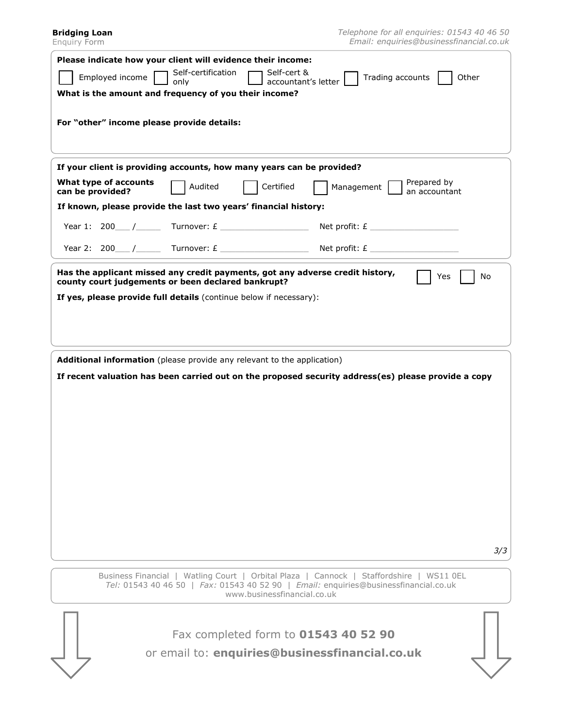| Please indicate how your client will evidence their income:                                                                                                                                                    |
|----------------------------------------------------------------------------------------------------------------------------------------------------------------------------------------------------------------|
| Self-certification<br>Self-cert &<br>Employed income<br>Other                                                                                                                                                  |
| Trading accounts<br>accountant's letter<br>only                                                                                                                                                                |
| What is the amount and frequency of you their income?                                                                                                                                                          |
| For "other" income please provide details:                                                                                                                                                                     |
|                                                                                                                                                                                                                |
|                                                                                                                                                                                                                |
| If your client is providing accounts, how many years can be provided?                                                                                                                                          |
| What type of accounts<br>Prepared by<br>Audited<br>Certified<br>Management  <br>can be provided?<br>an accountant                                                                                              |
| If known, please provide the last two years' financial history:                                                                                                                                                |
| Year 1: 200 $\_\_$ / Turnover: £ _________________<br>Net profit: $E$                                                                                                                                          |
| Year 2: 200 / Turnover: $E$ Net profit: $E$                                                                                                                                                                    |
| Has the applicant missed any credit payments, got any adverse credit history,<br>Yes<br>No<br>county court judgements or been declared bankrupt?                                                               |
| If yes, please provide full details (continue below if necessary):                                                                                                                                             |
|                                                                                                                                                                                                                |
|                                                                                                                                                                                                                |
|                                                                                                                                                                                                                |
| Additional information (please provide any relevant to the application)                                                                                                                                        |
| If recent valuation has been carried out on the proposed security address(es) please provide a copy                                                                                                            |
|                                                                                                                                                                                                                |
|                                                                                                                                                                                                                |
|                                                                                                                                                                                                                |
|                                                                                                                                                                                                                |
|                                                                                                                                                                                                                |
|                                                                                                                                                                                                                |
|                                                                                                                                                                                                                |
|                                                                                                                                                                                                                |
|                                                                                                                                                                                                                |
|                                                                                                                                                                                                                |
| 3/3                                                                                                                                                                                                            |
|                                                                                                                                                                                                                |
|                                                                                                                                                                                                                |
| Business Financial   Watling Court   Orbital Plaza   Cannock   Staffordshire   WS11 0EL<br>Tel: 01543 40 46 50   Fax: 01543 40 52 90   Email: enquiries@businessfinancial.co.uk<br>www.businessfinancial.co.uk |
|                                                                                                                                                                                                                |
| Fax completed form to 01543 40 52 90                                                                                                                                                                           |
| or email to: enquiries@businessfinancial.co.uk                                                                                                                                                                 |
|                                                                                                                                                                                                                |

**Bridging Loan** Enquiry Form